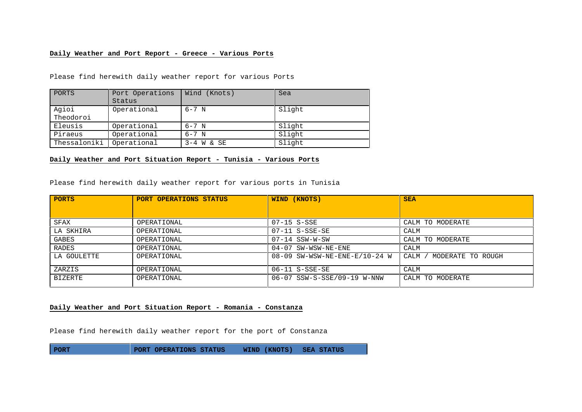## **Daily Weather and Port Report - Greece - Various Ports**

Please find herewith daily weather report for various Ports

| PORTS              | Port Operations<br>Status | Wind (Knots) | Sea    |
|--------------------|---------------------------|--------------|--------|
| Agioi<br>Theodoroi | Operational               | 6-7 N        | Slight |
| Eleusis            | Operational               | $6 - 7$ N    | Slight |
| Piraeus            | Operational               | $6 - 7$ N    | Slight |
| Thessaloniki       | Operational               | $3-4$ W & SE | Slight |

**Daily Weather and Port Situation Report - Tunisia - Various Ports**

Please find herewith daily weather report for various ports in Tunisia

| <b>PORTS</b> | PORT OPERATIONS STATUS | WIND (KNOTS)                    | <b>SEA</b>                    |
|--------------|------------------------|---------------------------------|-------------------------------|
|              |                        |                                 |                               |
| SFAX         | OPERATIONAL            | 07-15 S-SSE                     | CALM TO MODERATE              |
| LA SKHIRA    | OPERATIONAL            | $07-11$ S-SSE-SE                | CALM                          |
| GABES        | OPERATIONAL            | 07-14 SSW-W-SW                  | CALM TO MODERATE              |
| RADES        | OPERATIONAL            | 04-07 SW-WSW-NE-ENE             | CALM                          |
| LA GOULETTE  | OPERATIONAL            | $08-09$ SW-WSW-NE-ENE-E/10-24 W | ' MODERATE TO ROUGH<br>CALM / |
| ZARZIS       | OPERATIONAL            | $06-11$ S-SSE-SE                | CALM                          |
| BIZERTE      | OPERATIONAL            | 06-07 SSW-S-SSE/09-19 W-NNW     | CALM TO MODERATE              |

## **Daily Weather and Port Situation Report - Romania - Constanza**

Please find herewith daily weather report for the port of Constanza

**PORT PORT OPERATIONS STATUS WIND (KNOTS) SEA STATUS**